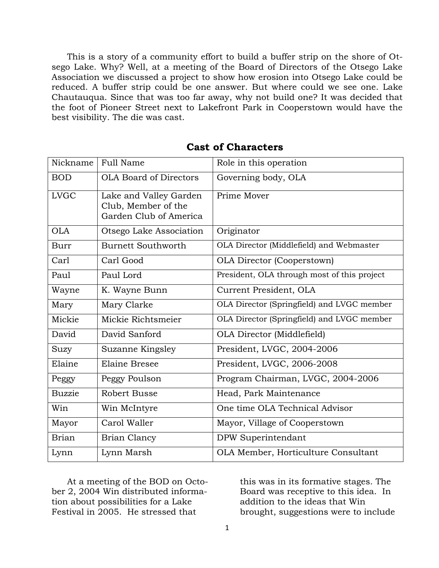This is a story of a community effort to build a buffer strip on the shore of Otsego Lake. Why? Well, at a meeting of the Board of Directors of the Otsego Lake Association we discussed a project to show how erosion into Otsego Lake could be reduced. A buffer strip could be one answer. But where could we see one. Lake Chautauqua. Since that was too far away, why not build one? It was decided that the foot of Pioneer Street next to Lakefront Park in Cooperstown would have the best visibility. The die was cast.

| Nickname      | <b>Full Name</b>                                                        | Role in this operation                      |
|---------------|-------------------------------------------------------------------------|---------------------------------------------|
| <b>BOD</b>    | <b>OLA Board of Directors</b>                                           | Governing body, OLA                         |
| <b>LVGC</b>   | Lake and Valley Garden<br>Club, Member of the<br>Garden Club of America | Prime Mover                                 |
| <b>OLA</b>    | Otsego Lake Association                                                 | Originator                                  |
| <b>Burr</b>   | <b>Burnett Southworth</b>                                               | OLA Director (Middlefield) and Webmaster    |
| Carl          | Carl Good                                                               | <b>OLA Director (Cooperstown)</b>           |
| Paul          | Paul Lord                                                               | President, OLA through most of this project |
| Wayne         | K. Wayne Bunn                                                           | Current President, OLA                      |
| Mary          | Mary Clarke                                                             | OLA Director (Springfield) and LVGC member  |
| Mickie        | Mickie Richtsmeier                                                      | OLA Director (Springfield) and LVGC member  |
| David         | David Sanford                                                           | OLA Director (Middlefield)                  |
| Suzy          | Suzanne Kingsley                                                        | President, LVGC, 2004-2006                  |
| Elaine        | <b>Elaine Bresee</b>                                                    | President, LVGC, 2006-2008                  |
| Peggy         | Peggy Poulson                                                           | Program Chairman, LVGC, 2004-2006           |
| <b>Buzzie</b> | <b>Robert Busse</b>                                                     | Head, Park Maintenance                      |
| Win           | Win McIntyre                                                            | One time OLA Technical Advisor              |
| Mayor         | Carol Waller                                                            | Mayor, Village of Cooperstown               |
| <b>Brian</b>  | <b>Brian Clancy</b>                                                     | DPW Superintendant                          |
| Lynn          | Lynn Marsh                                                              | OLA Member, Horticulture Consultant         |

## **Cast of Characters**

At a meeting of the BOD on October 2, 2004 Win distributed information about possibilities for a Lake Festival in 2005. He stressed that

this was in its formative stages. The Board was receptive to this idea. In addition to the ideas that Win brought, suggestions were to include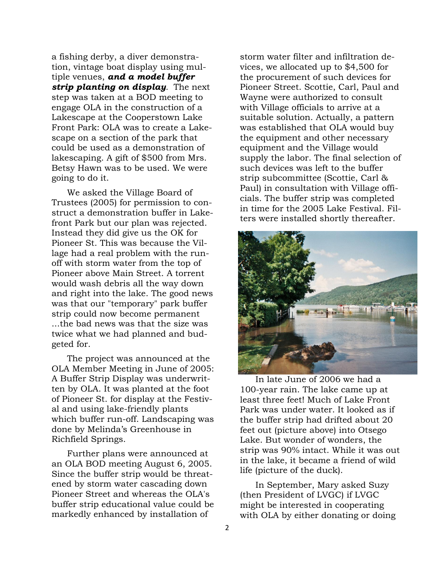a fishing derby, a diver demonstration, vintage boat display using multiple venues, *and a model buffer strip planting on display.* The next step was taken at a BOD meeting to engage OLA in the construction of a Lakescape at the Cooperstown Lake Front Park: OLA was to create a Lakescape on a section of the park that could be used as a demonstration of lakescaping. A gift of \$500 from Mrs. Betsy Hawn was to be used. We were going to do it.

We asked the Village Board of Trustees (2005) for permission to construct a demonstration buffer in Lakefront Park but our plan was rejected. Instead they did give us the OK for Pioneer St. This was because the Village had a real problem with the runoff with storm water from the top of Pioneer above Main Street. A torrent would wash debris all the way down and right into the lake. The good news was that our "temporary" park buffer strip could now become permanent ...the bad news was that the size was twice what we had planned and budgeted for.

The project was announced at the OLA Member Meeting in June of 2005: A Buffer Strip Display was underwritten by OLA. It was planted at the foot of Pioneer St. for display at the Festival and using lake-friendly plants which buffer run-off. Landscaping was done by Melinda"s Greenhouse in Richfield Springs.

Further plans were announced at an OLA BOD meeting August 6, 2005. Since the buffer strip would be threatened by storm water cascading down Pioneer Street and whereas the OLA's buffer strip educational value could be markedly enhanced by installation of

storm water filter and infiltration devices, we allocated up to \$4,500 for the procurement of such devices for Pioneer Street. Scottie, Carl, Paul and Wayne were authorized to consult with Village officials to arrive at a suitable solution. Actually, a pattern was established that OLA would buy the equipment and other necessary equipment and the Village would supply the labor. The final selection of such devices was left to the buffer strip subcommittee (Scottie, Carl & Paul) in consultation with Village officials. The buffer strip was completed in time for the 2005 Lake Festival. Filters were installed shortly thereafter.



In late June of 2006 we had a 100-year rain. The lake came up at least three feet! Much of Lake Front Park was under water. It looked as if the buffer strip had drifted about 20 feet out (picture above) into Otsego Lake. But wonder of wonders, the strip was 90% intact. While it was out in the lake, it became a friend of wild life (picture of the duck).

In September, Mary asked Suzy (then President of LVGC) if LVGC might be interested in cooperating with OLA by either donating or doing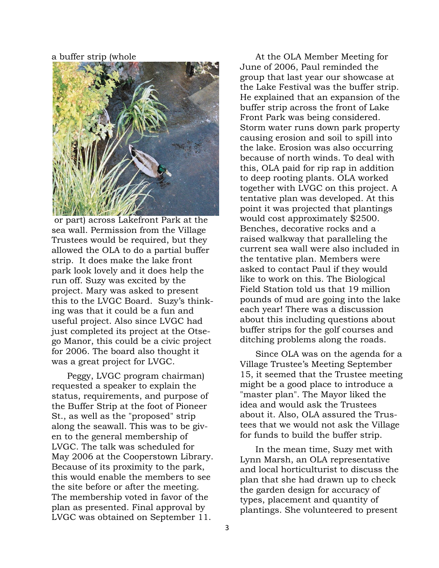a buffer strip (whole



or part) across Lakefront Park at the sea wall. Permission from the Village Trustees would be required, but they allowed the OLA to do a partial buffer strip. It does make the lake front park look lovely and it does help the run off. Suzy was excited by the project. Mary was asked to present this to the LVGC Board. Suzy"s thinking was that it could be a fun and useful project. Also since LVGC had just completed its project at the Otsego Manor, this could be a civic project for 2006. The board also thought it was a great project for LVGC.

Peggy, LVGC program chairman) requested a speaker to explain the status, requirements, and purpose of the Buffer Strip at the foot of Pioneer St., as well as the "proposed" strip along the seawall. This was to be given to the general membership of LVGC. The talk was scheduled for May 2006 at the Cooperstown Library. Because of its proximity to the park, this would enable the members to see the site before or after the meeting. The membership voted in favor of the plan as presented. Final approval by LVGC was obtained on September 11.

At the OLA Member Meeting for June of 2006, Paul reminded the group that last year our showcase at the Lake Festival was the buffer strip. He explained that an expansion of the buffer strip across the front of Lake Front Park was being considered. Storm water runs down park property causing erosion and soil to spill into the lake. Erosion was also occurring because of north winds. To deal with this, OLA paid for rip rap in addition to deep rooting plants. OLA worked together with LVGC on this project. A tentative plan was developed. At this point it was projected that plantings would cost approximately \$2500. Benches, decorative rocks and a raised walkway that paralleling the current sea wall were also included in the tentative plan. Members were asked to contact Paul if they would like to work on this. The Biological Field Station told us that 19 million pounds of mud are going into the lake each year! There was a discussion about this including questions about buffer strips for the golf courses and ditching problems along the roads.

Since OLA was on the agenda for a Village Trustee"s Meeting September 15, it seemed that the Trustee meeting might be a good place to introduce a "master plan". The Mayor liked the idea and would ask the Trustees about it. Also, OLA assured the Trustees that we would not ask the Village for funds to build the buffer strip.

In the mean time, Suzy met with Lynn Marsh, an OLA representative and local horticulturist to discuss the plan that she had drawn up to check the garden design for accuracy of types, placement and quantity of plantings. She volunteered to present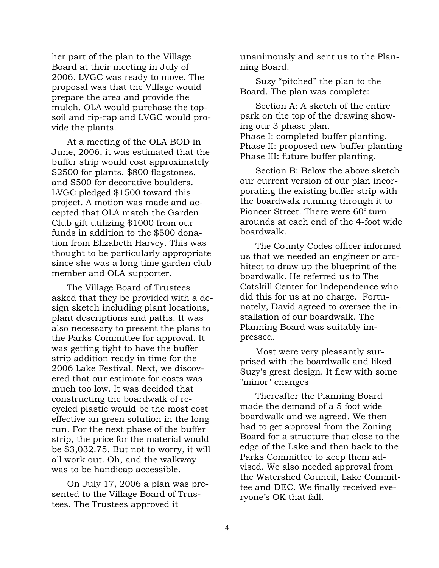her part of the plan to the Village Board at their meeting in July of 2006. LVGC was ready to move. The proposal was that the Village would prepare the area and provide the mulch. OLA would purchase the topsoil and rip-rap and LVGC would provide the plants.

At a meeting of the OLA BOD in June, 2006, it was estimated that the buffer strip would cost approximately \$2500 for plants, \$800 flagstones, and \$500 for decorative boulders. LVGC pledged \$1500 toward this project. A motion was made and accepted that OLA match the Garden Club gift utilizing \$1000 from our funds in addition to the \$500 donation from Elizabeth Harvey. This was thought to be particularly appropriate since she was a long time garden club member and OLA supporter.

The Village Board of Trustees asked that they be provided with a design sketch including plant locations, plant descriptions and paths. It was also necessary to present the plans to the Parks Committee for approval. It was getting tight to have the buffer strip addition ready in time for the 2006 Lake Festival. Next, we discovered that our estimate for costs was much too low. It was decided that constructing the boardwalk of recycled plastic would be the most cost effective an green solution in the long run. For the next phase of the buffer strip, the price for the material would be \$3,032.75. But not to worry, it will all work out. Oh, and the walkway was to be handicap accessible.

On July 17, 2006 a plan was presented to the Village Board of Trustees. The Trustees approved it

unanimously and sent us to the Planning Board.

Suzy "pitched" the plan to the Board. The plan was complete:

Section A: A sketch of the entire park on the top of the drawing showing our 3 phase plan. Phase I: completed buffer planting. Phase II: proposed new buffer planting Phase III: future buffer planting.

Section B: Below the above sketch our current version of our plan incorporating the existing buffer strip with the boardwalk running through it to Pioneer Street. There were 60º turn arounds at each end of the 4-foot wide boardwalk.

The County Codes officer informed us that we needed an engineer or architect to draw up the blueprint of the boardwalk. He referred us to The Catskill Center for Independence who did this for us at no charge. Fortunately, David agreed to oversee the installation of our boardwalk. The Planning Board was suitably impressed.

Most were very pleasantly surprised with the boardwalk and liked Suzy's great design. It flew with some "minor" changes

Thereafter the Planning Board made the demand of a 5 foot wide boardwalk and we agreed. We then had to get approval from the Zoning Board for a structure that close to the edge of the Lake and then back to the Parks Committee to keep them advised. We also needed approval from the Watershed Council, Lake Committee and DEC. We finally received everyone"s OK that fall.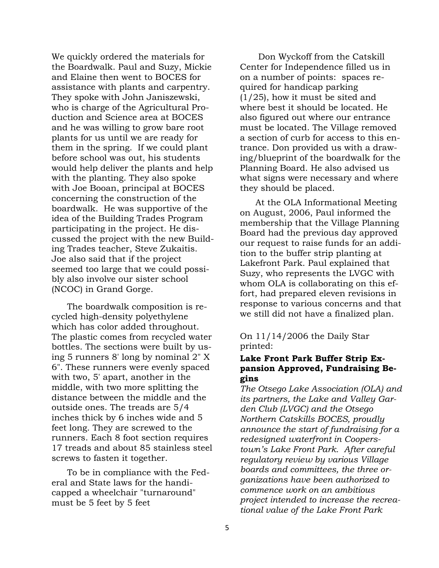We quickly ordered the materials for the Boardwalk. Paul and Suzy, Mickie and Elaine then went to BOCES for assistance with plants and carpentry. They spoke with John Janiszewski, who is charge of the Agricultural Production and Science area at BOCES and he was willing to grow bare root plants for us until we are ready for them in the spring. If we could plant before school was out, his students would help deliver the plants and help with the planting. They also spoke with Joe Booan, principal at BOCES concerning the construction of the boardwalk. He was supportive of the idea of the Building Trades Program participating in the project. He discussed the project with the new Building Trades teacher, Steve Zukaitis. Joe also said that if the project seemed too large that we could possibly also involve our sister school (NCOC) in Grand Gorge.

The boardwalk composition is recycled high-density polyethylene which has color added throughout. The plastic comes from recycled water bottles. The sections were built by using 5 runners 8' long by nominal 2" X 6". These runners were evenly spaced with two, 5' apart, another in the middle, with two more splitting the distance between the middle and the outside ones. The treads are 5/4 inches thick by 6 inches wide and 5 feet long. They are screwed to the runners. Each 8 foot section requires 17 treads and about 85 stainless steel screws to fasten it together.

To be in compliance with the Federal and State laws for the handicapped a wheelchair "turnaround" must be 5 feet by 5 feet

Don Wyckoff from the Catskill Center for Independence filled us in on a number of points: spaces required for handicap parking (1/25), how it must be sited and where best it should be located. He also figured out where our entrance must be located. The Village removed a section of curb for access to this entrance. Don provided us with a drawing/blueprint of the boardwalk for the Planning Board. He also advised us what signs were necessary and where they should be placed.

At the OLA Informational Meeting on August, 2006, Paul informed the membership that the Village Planning Board had the previous day approved our request to raise funds for an addition to the buffer strip planting at Lakefront Park. Paul explained that Suzy, who represents the LVGC with whom OLA is collaborating on this effort, had prepared eleven revisions in response to various concerns and that we still did not have a finalized plan.

On 11/14/2006 the Daily Star printed:

## **Lake Front Park Buffer Strip Expansion Approved, Fundraising Begins**

*The Otsego Lake Association (OLA) and its partners, the Lake and Valley Garden Club (LVGC) and the Otsego Northern Catskills BOCES, proudly announce the start of fundraising for a redesigned waterfront in Cooperstown's Lake Front Park. After careful regulatory review by various Village boards and committees, the three organizations have been authorized to commence work on an ambitious project intended to increase the recreational value of the Lake Front Park*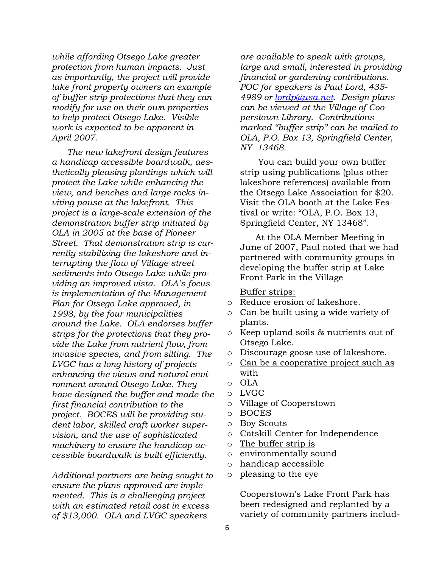*while affording Otsego Lake greater protection from human impacts. Just as importantly, the project will provide lake front property owners an example of buffer strip protections that they can modify for use on their own properties to help protect Otsego Lake. Visible work is expected to be apparent in April 2007.*

*The new lakefront design features a handicap accessible boardwalk, aesthetically pleasing plantings which will protect the Lake while enhancing the view, and benches and large rocks inviting pause at the lakefront. This project is a large-scale extension of the demonstration buffer strip initiated by OLA in 2005 at the base of Pioneer Street. That demonstration strip is currently stabilizing the lakeshore and interrupting the flow of Village street sediments into Otsego Lake while providing an improved vista. OLA's focus is implementation of the Management Plan for Otsego Lake approved, in 1998, by the four municipalities around the Lake. OLA endorses buffer strips for the protections that they provide the Lake from nutrient flow, from invasive species, and from silting. The LVGC has a long history of projects enhancing the views and natural environment around Otsego Lake. They have designed the buffer and made the first financial contribution to the project. BOCES will be providing student labor, skilled craft worker supervision, and the use of sophisticated machinery to ensure the handicap accessible boardwalk is built efficiently.*

*Additional partners are being sought to ensure the plans approved are implemented. This is a challenging project with an estimated retail cost in excess of \$13,000. OLA and LVGC speakers* 

*are available to speak with groups, large and small, interested in providing financial or gardening contributions. POC for speakers is Paul Lord, 435- 4989 or [lordp@usa.net.](mailto:lordp@usa.net) Design plans can be viewed at the Village of Cooperstown Library. Contributions marked "buffer strip" can be mailed to OLA, P.O. Box 13, Springfield Center, NY 13468.*

You can build your own buffer strip using publications (plus other lakeshore references) available from the Otsego Lake Association for \$20. Visit the OLA booth at the Lake Festival or write: "OLA, P.O. Box 13, Springfield Center, NY 13468".

At the OLA Member Meeting in June of 2007, Paul noted that we had partnered with community groups in developing the buffer strip at Lake Front Park in the Village

Buffer strips:

- o Reduce erosion of lakeshore.
- o Can be built using a wide variety of plants.
- o Keep upland soils & nutrients out of Otsego Lake.
- o Discourage goose use of lakeshore.
- o Can be a cooperative project such as with
- o OLA
- o LVGC
- o Village of Cooperstown
- o BOCES
- o Boy Scouts
- o Catskill Center for Independence
- o The buffer strip is
- o environmentally sound
- o handicap accessible
- o pleasing to the eye

Cooperstown's Lake Front Park has been redesigned and replanted by a variety of community partners includ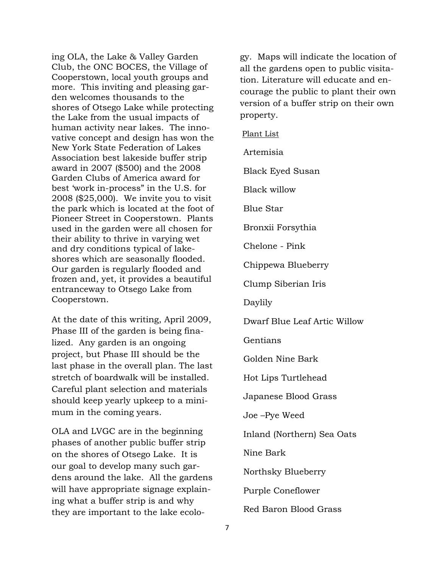ing OLA, the Lake & Valley Garden Club, the ONC BOCES, the Village of Cooperstown, local youth groups and more. This inviting and pleasing garden welcomes thousands to the shores of Otsego Lake while protecting the Lake from the usual impacts of human activity near lakes. The innovative concept and design has won the New York State Federation of Lakes Association best lakeside buffer strip award in 2007 (\$500) and the 2008 Garden Clubs of America award for best "work in-process" in the U.S. for 2008 (\$25,000). We invite you to visit the park which is located at the foot of Pioneer Street in Cooperstown. Plants used in the garden were all chosen for their ability to thrive in varying wet and dry conditions typical of lakeshores which are seasonally flooded. Our garden is regularly flooded and frozen and, yet, it provides a beautiful entranceway to Otsego Lake from Cooperstown.

At the date of this writing, April 2009, Phase III of the garden is being finalized. Any garden is an ongoing project, but Phase III should be the last phase in the overall plan. The last stretch of boardwalk will be installed. Careful plant selection and materials should keep yearly upkeep to a minimum in the coming years.

OLA and LVGC are in the beginning phases of another public buffer strip on the shores of Otsego Lake. It is our goal to develop many such gardens around the lake. All the gardens will have appropriate signage explaining what a buffer strip is and why they are important to the lake ecology. Maps will indicate the location of all the gardens open to public visitation. Literature will educate and encourage the public to plant their own version of a buffer strip on their own property.

Plant List

Artemisia

Black Eyed Susan

Black willow

Blue Star

Bronxii Forsythia

Chelone - Pink

Chippewa Blueberry

Clump Siberian Iris

Daylily

Dwarf Blue Leaf Artic Willow

Gentians

Golden Nine Bark

Hot Lips Turtlehead

Japanese Blood Grass

Joe –Pye Weed

Inland (Northern) Sea Oats

Nine Bark

Northsky Blueberry

Purple Coneflower

Red Baron Blood Grass